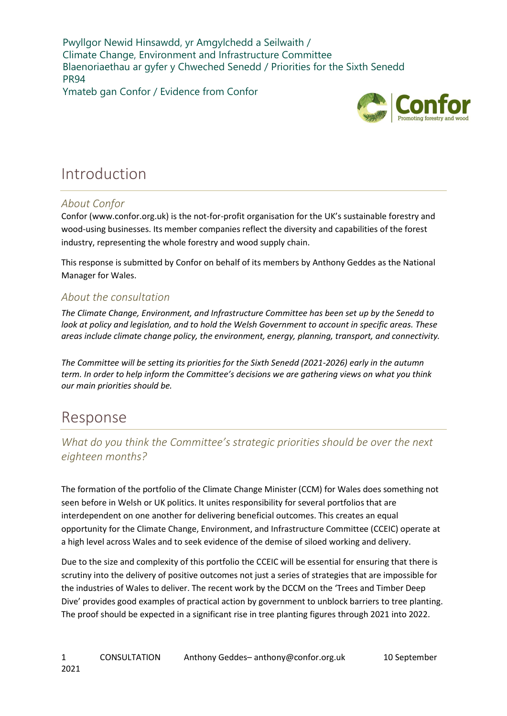Pwyllgor Newid Hinsawdd, yr Amgylchedd a Seilwaith / Climate Change, Environment and Infrastructure Committee Blaenoriaethau ar gyfer y Chweched Senedd / Priorities for the Sixth Senedd PR94

Ymateb gan Confor / Evidence from Confor



# Introduction

## About Confor

Confor (www.confor.org.uk) is the not-for-profit organisation for the UK's sustainable forestry and wood-using businesses. Its member companies reflect the diversity and capabilities of the forest industry, representing the whole forestry and wood supply chain.

This response is submitted by Confor on behalf of its members by Anthony Geddes as the National Manager for Wales.

## About the consultation

The Climate Change, Environment, and Infrastructure Committee has been set up by the Senedd to look at policy and legislation, and to hold the Welsh Government to account in specific areas. These areas include climate change policy, the environment, energy, planning, transport, and connectivity.

The Committee will be setting its priorities for the Sixth Senedd (2021-2026) early in the autumn term. In order to help inform the Committee's decisions we are gathering views on what you think our main priorities should be.

# Response

What do you think the Committee's strategic priorities should be over the next eighteen months?

The formation of the portfolio of the Climate Change Minister (CCM) for Wales does something not seen before in Welsh or UK politics. It unites responsibility for several portfolios that are interdependent on one another for delivering beneficial outcomes. This creates an equal opportunity for the Climate Change, Environment, and Infrastructure Committee (CCEIC) operate at a high level across Wales and to seek evidence of the demise of siloed working and delivery.

Due to the size and complexity of this portfolio the CCEIC will be essential for ensuring that there is scrutiny into the delivery of positive outcomes not just a series of strategies that are impossible for the industries of Wales to deliver. The recent work by the DCCM on the 'Trees and Timber Deep Dive' provides good examples of practical action by government to unblock barriers to tree planting. The proof should be expected in a significant rise in tree planting figures through 2021 into 2022.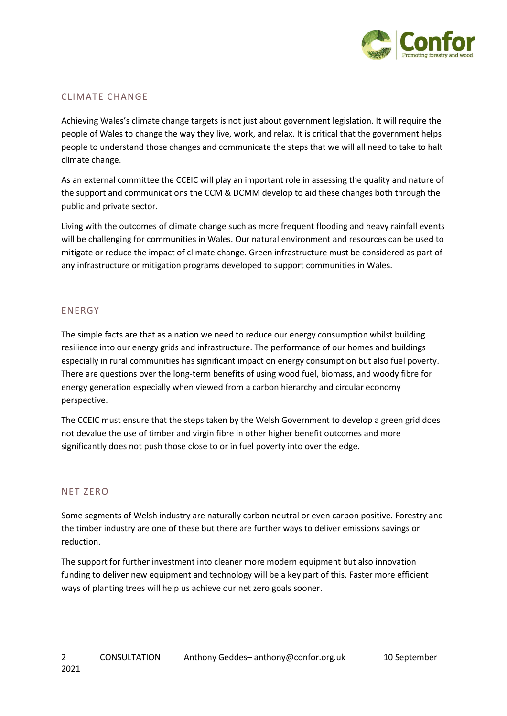

### CLIMATE CHANGE

Achieving Wales's climate change targets is not just about government legislation. It will require the people of Wales to change the way they live, work, and relax. It is critical that the government helps people to understand those changes and communicate the steps that we will all need to take to halt climate change.

As an external committee the CCEIC will play an important role in assessing the quality and nature of the support and communications the CCM & DCMM develop to aid these changes both through the public and private sector.

Living with the outcomes of climate change such as more frequent flooding and heavy rainfall events will be challenging for communities in Wales. Our natural environment and resources can be used to mitigate or reduce the impact of climate change. Green infrastructure must be considered as part of any infrastructure or mitigation programs developed to support communities in Wales.

#### ENERGY

The simple facts are that as a nation we need to reduce our energy consumption whilst building resilience into our energy grids and infrastructure. The performance of our homes and buildings especially in rural communities has significant impact on energy consumption but also fuel poverty. There are questions over the long-term benefits of using wood fuel, biomass, and woody fibre for energy generation especially when viewed from a carbon hierarchy and circular economy perspective.

The CCEIC must ensure that the steps taken by the Welsh Government to develop a green grid does not devalue the use of timber and virgin fibre in other higher benefit outcomes and more significantly does not push those close to or in fuel poverty into over the edge.

#### NET ZERO

Some segments of Welsh industry are naturally carbon neutral or even carbon positive. Forestry and the timber industry are one of these but there are further ways to deliver emissions savings or reduction.

The support for further investment into cleaner more modern equipment but also innovation funding to deliver new equipment and technology will be a key part of this. Faster more efficient ways of planting trees will help us achieve our net zero goals sooner.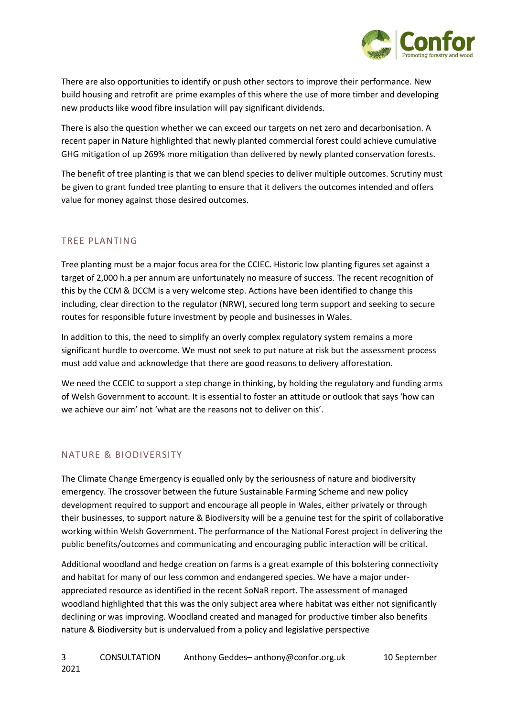

There are also opportunities to identify or push other sectors to improve their performance. New build housing and retrofit are prime examples of this where the use of more timber and developing new products like wood fibre insulation will pay significant dividends.

There is also the question whether we can exceed our targets on net zero and decarbonisation. A recent paper in Nature highlighted that newly planted commercial forest could achieve cumulative GHG mitigation of up 269% more mitigation than delivered by newly planted conservation forests.

The benefit of tree planting is that we can blend species to deliver multiple outcomes. Scrutiny must be given to grant funded tree planting to ensure that it delivers the outcomes intended and offers value for money against those desired outcomes.

## TREE PLANTING

Tree planting must be a major focus area for the CCIEC. Historic low planting figures set against a target of 2,000 h.a per annum are unfortunately no measure of success. The recent recognition of this by the CCM & DCCM is a very welcome step. Actions have been identified to change this including, clear direction to the regulator (NRW), secured long term support and seeking to secure routes for responsible future investment by people and businesses in Wales.

In addition to this, the need to simplify an overly complex regulatory system remains a more significant hurdle to overcome. We must not seek to put nature at risk but the assessment process must add value and acknowledge that there are good reasons to delivery afforestation.

We need the CCEIC to support a step change in thinking, by holding the regulatory and funding arms of Welsh Government to account. It is essential to foster an attitude or outlook that says 'how can we achieve our aim' not 'what are the reasons not to deliver on this'.

### NATURE & BIODIVERSITY

The Climate Change Emergency is equalled only by the seriousness of nature and biodiversity emergency. The crossover between the future Sustainable Farming Scheme and new policy development required to support and encourage all people in Wales, either privately or through their businesses, to support nature & Biodiversity will be a genuine test for the spirit of collaborative working within Welsh Government. The performance of the National Forest project in delivering the public benefits/outcomes and communicating and encouraging public interaction will be critical.

Additional woodland and hedge creation on farms is a great example of this bolstering connectivity and habitat for many of our less common and endangered species. We have a major underappreciated resource as identified in the recent SoNaR report. The assessment of managed woodland highlighted that this was the only subject area where habitat was either not significantly declining or was improving. Woodland created and managed for productive timber also benefits nature & Biodiversity but is undervalued from a policy and legislative perspective